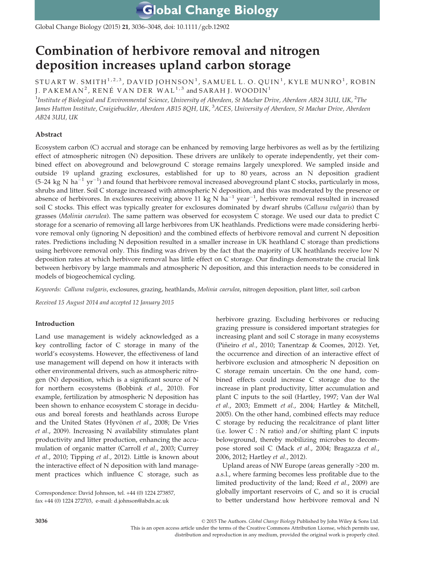Global Change Biology (2015) 21, 3036–3048, doi: 10.1111/gcb.12902

# Combination of herbivore removal and nitrogen deposition increases upland carbon storage

STUART W. SMITH $^{1,2,3}$ , DAVID JOHNSON<sup>1</sup>, SAMUEL L. O. QUIN<sup>1</sup>, KYLE MUNRO<sup>1</sup>, ROBIN J. PAKEMAN<sup>2</sup>, RENÉ VAN DER WAL<sup>1,3</sup> and SARAH J. WOODIN<sup>1</sup>

**Global Change Biology** 

 $^1$ Institute of Biological and Environmental Science, University of Aberdeen, St Machar Drive, Aberdeen AB24 3UU, UK,  $^2$ The James Hutton Institute, Craigiebuckler, Aberdeen AB15 8QH, UK, <sup>3</sup>ACES, University of Aberdeen, St Machar Drive, Aberdeen AB24 3UU, UK

# Abstract

Ecosystem carbon (C) accrual and storage can be enhanced by removing large herbivores as well as by the fertilizing effect of atmospheric nitrogen (N) deposition. These drivers are unlikely to operate independently, yet their combined effect on aboveground and belowground C storage remains largely unexplored. We sampled inside and outside 19 upland grazing exclosures, established for up to 80 years, across an N deposition gradient (5–24 kg N ha<sup>-1</sup> yr<sup>-1</sup>) and found that herbivore removal increased aboveground plant C stocks, particularly in moss, shrubs and litter. Soil C storage increased with atmospheric N deposition, and this was moderated by the presence or absence of herbivores. In exclosures receiving above 11 kg N ha<sup>-1</sup> year<sup>-1</sup>, herbivore removal resulted in increased soil C stocks. This effect was typically greater for exclosures dominated by dwarf shrubs (Calluna vulgaris) than by grasses (Molinia caerulea). The same pattern was observed for ecosystem C storage. We used our data to predict C storage for a scenario of removing all large herbivores from UK heathlands. Predictions were made considering herbivore removal only (ignoring N deposition) and the combined effects of herbivore removal and current N deposition rates. Predictions including N deposition resulted in a smaller increase in UK heathland C storage than predictions using herbivore removal only. This finding was driven by the fact that the majority of UK heathlands receive low N deposition rates at which herbivore removal has little effect on C storage. Our findings demonstrate the crucial link between herbivory by large mammals and atmospheric N deposition, and this interaction needs to be considered in models of biogeochemical cycling.

Keywords: Calluna vulgaris, exclosures, grazing, heathlands, Molinia caerulea, nitrogen deposition, plant litter, soil carbon

Received 15 August 2014 and accepted 12 January 2015

## Introduction

Land use management is widely acknowledged as a key controlling factor of C storage in many of the world's ecosystems. However, the effectiveness of land use management will depend on how it interacts with other environmental drivers, such as atmospheric nitrogen (N) deposition, which is a significant source of N for northern ecosystems (Bobbink et al., 2010). For example, fertilization by atmospheric N deposition has been shown to enhance ecosystem C storage in deciduous and boreal forests and heathlands across Europe and the United States (Hyvönen et al., 2008; De Vries et al., 2009). Increasing N availability stimulates plant productivity and litter production, enhancing the accumulation of organic matter (Carroll et al., 2003; Currey et al., 2010; Tipping et al., 2012). Little is known about the interactive effect of N deposition with land management practices which influence C storage, such as

herbivore grazing. Excluding herbivores or reducing grazing pressure is considered important strategies for increasing plant and soil C storage in many ecosystems (Piñeiro et al., 2010; Tanentzap & Coomes, 2012). Yet, the occurrence and direction of an interactive effect of herbivore exclusion and atmospheric N deposition on C storage remain uncertain. On the one hand, combined effects could increase C storage due to the increase in plant productivity, litter accumulation and plant C inputs to the soil (Hartley, 1997; Van der Wal et al., 2003; Emmett et al., 2004; Hartley & Mitchell, 2005). On the other hand, combined effects may reduce C storage by reducing the recalcitrance of plant litter (i.e. lower  $C : N$  ratio) and/or shifting plant  $C$  inputs belowground, thereby mobilizing microbes to decompose stored soil C (Mack et al., 2004; Bragazza et al., 2006, 2012; Hartley et al., 2012).

Upland areas of NW Europe (areas generally >200 m. a.s.l., where farming becomes less profitable due to the limited productivity of the land; Reed et al., 2009) are globally important reservoirs of C, and so it is crucial to better understand how herbivore removal and N

Correspondence: David Johnson, tel. +44 (0) 1224 273857, fax +44 (0) 1224 272703, e-mail: d.johnson@abdn.ac.uk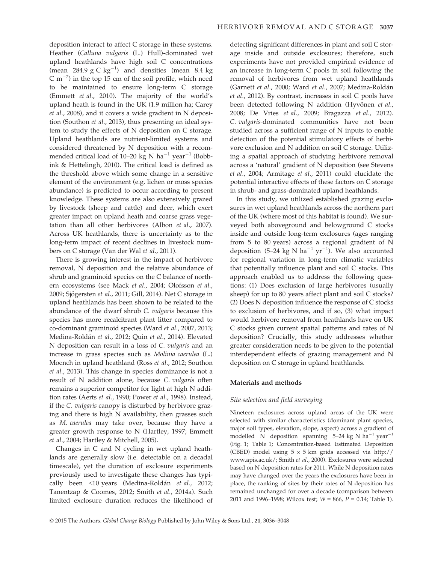deposition interact to affect C storage in these systems. Heather (Calluna vulgaris (L.) Hull)-dominated wet upland heathlands have high soil C concentrations (mean 284.9  $g C kg^{-1}$ ) and densities (mean 8.4 kg)  $C \text{ m}^{-2}$ ) in the top 15 cm of the soil profile, which need to be maintained to ensure long-term C storage (Emmett et al., 2010). The majority of the world's upland heath is found in the UK (1.9 million ha; Carey et al., 2008), and it covers a wide gradient in N deposition (Southon et al., 2013), thus presenting an ideal system to study the effects of N deposition on C storage. Upland heathlands are nutrient-limited systems and considered threatened by N deposition with a recommended critical load of 10–20 kg N ha<sup>-1</sup> year<sup>-1</sup> (Bobbink & Hettelingh, 2010). The critical load is defined as the threshold above which some change in a sensitive element of the environment (e.g. lichen or moss species abundance) is predicted to occur according to present knowledge. These systems are also extensively grazed by livestock (sheep and cattle) and deer, which exert greater impact on upland heath and coarse grass vegetation than all other herbivores (Albon et al., 2007). Across UK heathlands, there is uncertainty as to the long-term impact of recent declines in livestock numbers on C storage (Van der Wal et al., 2011).

There is growing interest in the impact of herbivore removal, N deposition and the relative abundance of shrub and graminoid species on the C balance of northern ecosystems (see Mack et al., 2004; Olofsson et al., 2009; Sjögersten et al., 2011; Gill, 2014). Net C storage in upland heathlands has been shown to be related to the abundance of the dwarf shrub C. vulgaris because this species has more recalcitrant plant litter compared to co-dominant graminoid species (Ward et al., 2007, 2013; Medina-Roldán et al., 2012; Quin et al., 2014). Elevated N deposition can result in a loss of C. vulgaris and an increase in grass species such as Molinia caerulea (L.) Moench in upland heathland (Ross et al., 2012; Southon et al., 2013). This change in species dominance is not a result of N addition alone, because C. vulgaris often remains a superior competitor for light at high N addition rates (Aerts et al., 1990; Power et al., 1998). Instead, if the C. vulgaris canopy is disturbed by herbivore grazing and there is high N availability, then grasses such as M. caerulea may take over, because they have a greater growth response to N (Hartley, 1997; Emmett et al., 2004; Hartley & Mitchell, 2005).

Changes in C and N cycling in wet upland heathlands are generally slow (i.e. detectable on a decadal timescale), yet the duration of exclosure experiments previously used to investigate these changes has typically been <10 years (Medina-Roldán et al., 2012; Tanentzap & Coomes, 2012; Smith et al., 2014a). Such limited exclosure duration reduces the likelihood of detecting significant differences in plant and soil C storage inside and outside exclosures; therefore, such experiments have not provided empirical evidence of an increase in long-term C pools in soil following the removal of herbivores from wet upland heathlands (Garnett et al., 2000; Ward et al., 2007; Medina-Roldán et al., 2012). By contrast, increases in soil C pools have been detected following N addition (Hyvönen et al., 2008; De Vries et al., 2009; Bragazza et al., 2012). C. vulgaris-dominated communities have not been studied across a sufficient range of N inputs to enable detection of the potential stimulatory effects of herbivore exclusion and N addition on soil C storage. Utilizing a spatial approach of studying herbivore removal across a 'natural' gradient of N deposition (see Stevens et al., 2004; Armitage et al., 2011) could elucidate the potential interactive effects of these factors on C storage in shrub- and grass-dominated upland heathlands.

In this study, we utilized established grazing exclosures in wet upland heathlands across the northern part of the UK (where most of this habitat is found). We surveyed both aboveground and belowground C stocks inside and outside long-term exclosures (ages ranging from 5 to 80 years) across a regional gradient of N deposition (5–24 kg N ha<sup>-1</sup> yr<sup>-1</sup>). We also accounted for regional variation in long-term climatic variables that potentially influence plant and soil C stocks. This approach enabled us to address the following questions: (1) Does exclusion of large herbivores (usually sheep) for up to 80 years affect plant and soil C stocks? (2) Does N deposition influence the response of C stocks to exclusion of herbivores, and if so, (3) what impact would herbivore removal from heathlands have on UK C stocks given current spatial patterns and rates of N deposition? Crucially, this study addresses whether greater consideration needs to be given to the potential interdependent effects of grazing management and N deposition on C storage in upland heathlands.

## Materials and methods

## Site selection and field surveying

Nineteen exclosures across upland areas of the UK were selected with similar characteristics (dominant plant species, major soil types, elevation, slope, aspect) across a gradient of modelled N deposition spanning 5–24 kg N ha<sup>-1</sup> year<sup>-1</sup> (Fig. 1; Table 1; Concentration-based Estimated Deposition (CBED) model using  $5 \times 5$  km grids accessed via [http://](http://www.apis.ac.uk/) [www.apis.ac.uk/](http://www.apis.ac.uk/); Smith et al., 2000). Exclosures were selected based on N deposition rates for 2011. While N deposition rates may have changed over the years the exclosures have been in place, the ranking of sites by their rates of N deposition has remained unchanged for over a decade (comparison between 2011 and 1996–1998; Wilcox test;  $W = 866$ ,  $P = 0.14$ ; Table 1).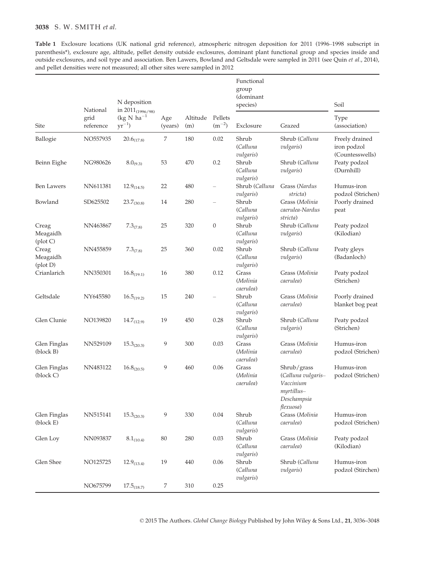# 3038 S. W. SMITH et al.

|                               | National                | N deposition<br>in $2011_{(1996/98)}$         |                |                 |                       | Functional<br>group<br>(dominant<br>species) |                                                                                          | Soil                                             |  |
|-------------------------------|-------------------------|-----------------------------------------------|----------------|-----------------|-----------------------|----------------------------------------------|------------------------------------------------------------------------------------------|--------------------------------------------------|--|
| Site                          | grid<br>$\rm reference$ | $(kg \text{ N} \text{ ha}^{-1})$<br>$yr^{-1}$ | Age<br>(years) | Altitude<br>(m) | Pellets<br>$(m^{-2})$ | Exclosure                                    | Grazed                                                                                   | Type<br>(association)                            |  |
| Ballogie                      | NO557935                | $20.6_{(17.8)}$                               | 7              | 180             | 0.02                  | Shrub<br>(Calluna<br>vulgaris)               | Shrub (Calluna<br>vulgaris)                                                              | Freely drained<br>iron podzol<br>(Countesswells) |  |
| Beinn Eighe                   | NG980626                | 8.0 <sub>(9.3)</sub>                          | 53             | 470             | 0.2                   | Shrub<br>(Calluna<br>vulgaris)               | Shrub (Calluna<br>vulgaris)                                                              | Peaty podzol<br>(Durnhill)                       |  |
| <b>Ben Lawers</b>             | NN611381                | $12.9_{(14.5)}$                               | 22             | 480             |                       | Shrub (Calluna<br>vulgaris)                  | Grass (Nardus<br>stricta)                                                                | Humus-iron<br>podzol (Strichen)                  |  |
| Bowland                       | SD625502                | $23.7_{(30.8)}$                               | 14             | 280             | $\qquad \qquad$       | Shrub<br>(Calluna<br>vulgaris)               | Grass (Molinia<br>caerulea-Nardus<br>stricta)                                            | Poorly drained<br>peat                           |  |
| Creag<br>Meagaidh<br>(plot C) | NN463867                | $7.3_{(7.8)}$                                 | 25             | 320             | $\boldsymbol{0}$      | Shrub<br>(Calluna<br>vulgaris)               | Shrub (Calluna<br>vulgaris)                                                              | Peaty podzol<br>(Kilodian)                       |  |
| Creag<br>Meagaidh<br>(plot D) | NN455859                | $7.3_{(7.8)}$                                 | 25             | 360             | 0.02                  | Shrub<br>(Calluna<br>vulgaris)               | Shrub (Calluna<br>vulgaris)                                                              | Peaty gleys<br>(Badanloch)                       |  |
| Crianlarich                   | NN350301                | $16.8_{(19.1)}$                               | 16             | 380             | 0.12                  | Grass<br>(Molinia<br>caerulea)               | Grass (Molinia<br>caerulea)                                                              | Peaty podzol<br>(Strichen)                       |  |
| Geltsdale                     | NY645580                | $16.5_{(19.2)}$                               | 15             | 240             |                       | Shrub<br>(Calluna<br>vulgaris)               | Grass (Molinia<br>caerulea)                                                              | Poorly drained<br>blanket bog peat               |  |
| Glen Clunie                   | NO139820                | $14.7_{(12.9)}$                               | 19             | 450             | 0.28                  | Shrub<br>(Calluna<br>vulgaris)               | Shrub (Calluna<br>vulgaris)                                                              | Peaty podzol<br>(Strichen)                       |  |
| Glen Finglas<br>(block B)     | NN529109                | $15.3_{(20.3)}$                               | 9              | 300             | 0.03                  | Grass<br>(Molinia<br>caerulea)               | Grass (Molinia<br>caerulea)                                                              | Humus-iron<br>podzol (Strichen)                  |  |
| Glen Finglas<br>(block C)     | NN483122                | $16.8_{(20.5)}$                               | 9              | 460             | 0.06                  | Grass<br>(Molinia<br>caerulea)               | Shrub/grass<br>(Calluna vulgaris-<br>Vaccinium<br>myrtillus-<br>Deschampsia<br>flexuosa) | Humus-iron<br>podzol (Strichen)                  |  |
| Glen Finglas<br>(block E)     | NN515141                | $15.3_{(20.3)}$                               | 9              | 330             | 0.04                  | Shrub<br>(Calluna<br>vulgaris)               | Grass (Molinia<br>caerulea)                                                              | Humus-iron<br>podzol (Strichen)                  |  |
| Glen Loy                      | NN093837                | $8.1_{(10.4)}$                                | 80             | 280             | 0.03                  | Shrub<br>(Calluna<br>vulgaris)               | Grass (Molinia<br>caerulea)                                                              | Peaty podzol<br>(Kilodian)                       |  |
| Glen Shee                     | NO125725                | $12.9_{(13.4)}$                               | 19             | 440             | 0.06                  | Shrub<br>(Calluna<br>vulgaris)               | Shrub (Calluna<br>vulgaris)                                                              | Humus-iron<br>podzol (Stirchen)                  |  |
|                               | NO675799                | $17.5_{(18.7)}$                               | 7              | 310             | 0.25                  |                                              |                                                                                          |                                                  |  |

Table 1 Exclosure locations (UK national grid reference), atmospheric nitrogen deposition for 2011 (1996–1998 subscript in parenthesis\*), exclosure age, altitude, pellet density outside exclosures, dominant plant functional group and species inside and outside exclosures, and soil type and association. Ben Lawers, Bowland and Geltsdale were sampled in 2011 (see Quin et al., 2014), and pellet densities were not measured; all other sites were sampled in 2012

© 2015 The Authors. Global Change Biology Published by John Wiley & Sons Ltd., 21, 3036–3048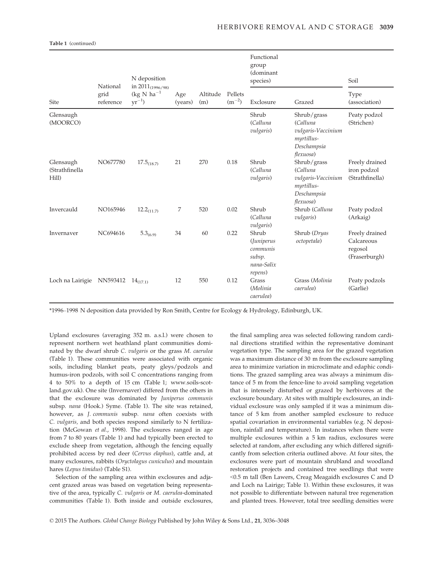|                                      | National          | N deposition<br>in $2011_{(1996/98)}$ |                |                 |                       | Functional<br>group<br>(dominant<br>species)                               |                                                                                         | Soil<br>Type<br>(association)                            |  |
|--------------------------------------|-------------------|---------------------------------------|----------------|-----------------|-----------------------|----------------------------------------------------------------------------|-----------------------------------------------------------------------------------------|----------------------------------------------------------|--|
| Site                                 | grid<br>reference | $(kg N ha^{-1})$<br>$yr^{-1}$ )       | Age<br>(years) | Altitude<br>(m) | Pellets<br>$(m^{-2})$ | Exclosure                                                                  | Grazed                                                                                  |                                                          |  |
| Glensaugh<br>(MOORCO)                |                   |                                       |                |                 |                       | Shrub<br>(Calluna<br>vulgaris)                                             | Shrub/grass<br>(Calluna<br>vulgaris-Vaccinium<br>myrtillus-<br>Deschampsia<br>flexuosa) | Peaty podzol<br>(Strichen)                               |  |
| Glensaugh<br>(Strathfinella<br>Hill) | NO677780          | $17.5_{(18.7)}$                       | 21             | 270             | 0.18                  | Shrub<br>(Calluna<br>vulgaris)                                             | Shrub/grass<br>(Calluna<br>vulgaris-Vaccinium<br>myrtillus-<br>Deschampsia<br>flexuosa) | Freely drained<br>iron podzol<br>(Strathfinella)         |  |
| Invercauld                           | NO165946          | $12.2_{(11.7)}$                       | 7              | 520             | 0.02                  | Shrub<br>(Calluna<br>vulgaris)                                             | Shrub (Calluna<br>vulgaris)                                                             | Peaty podzol<br>(Arkaig)                                 |  |
| Invernaver                           | NC694616          | $5.3_{(6.9)}$                         | 34             | 60              | 0.22                  | Shrub<br><i>(Juniperus)</i><br>communis<br>subsp.<br>nana-Salix<br>repens) | Shrub (Dryas<br>octopetala)                                                             | Freely drained<br>Calcareous<br>regosol<br>(Fraserburgh) |  |
| Loch na Lairigie NN593412            |                   | $14_{(17.1)}$                         | 12             | 550             | 0.12                  | Grass<br>(Molinia<br>caerulea)                                             | Grass (Molinia<br>caerulea)                                                             | Peaty podzols<br>(Garlie)                                |  |

\*1996–1998 N deposition data provided by Ron Smith, Centre for Ecology & Hydrology, Edinburgh, UK.

Upland exclosures (averaging 352 m. a.s.l.) were chosen to represent northern wet heathland plant communities dominated by the dwarf shrub C. vulgaris or the grass M. caerulea (Table 1). These communities were associated with organic soils, including blanket peats, peaty gleys/podzols and humus-iron podzols, with soil C concentrations ranging from 4 to 50% to a depth of 15 cm (Table 1; [www.soils-scot](http://www.soils-scotland.gov.uk)[land.gov.uk\)](http://www.soils-scotland.gov.uk). One site (Invernaver) differed from the others in that the exclosure was dominated by Juniperus communis subsp. nana (Hook.) Syme. (Table 1). The site was retained, however, as J. communis subsp. nana often coexists with C. vulgaris, and both species respond similarly to N fertilization (McGowan et al., 1998). The exclosures ranged in age from 7 to 80 years (Table 1) and had typically been erected to exclude sheep from vegetation, although the fencing equally prohibited access by red deer (Cervus elaphus), cattle and, at many exclosures, rabbits (Oryctolagus cuniculus) and mountain hares (Lepus timidus) (Table S1).

Selection of the sampling area within exclosures and adjacent grazed areas was based on vegetation being representative of the area, typically C. vulgaris or M. caerulea-dominated communities (Table 1). Both inside and outside exclosures, the final sampling area was selected following random cardinal directions stratified within the representative dominant vegetation type. The sampling area for the grazed vegetation was a maximum distance of 30 m from the exclosure sampling area to minimize variation in microclimate and edaphic conditions. The grazed sampling area was always a minimum distance of 5 m from the fence-line to avoid sampling vegetation that is intensely disturbed or grazed by herbivores at the exclosure boundary. At sites with multiple exclosures, an individual exclosure was only sampled if it was a minimum distance of 5 km from another sampled exclosure to reduce spatial covariation in environmental variables (e.g. N deposition, rainfall and temperature). In instances when there were multiple exclosures within a 5 km radius, exclosures were selected at random, after excluding any which differed significantly from selection criteria outlined above. At four sites, the exclosures were part of mountain shrubland and woodland restoration projects and contained tree seedlings that were <0.5 m tall (Ben Lawers, Creag Meagaidh exclosures C and D and Loch na Lairige; Table 1). Within these exclosures, it was not possible to differentiate between natural tree regeneration and planted trees. However, total tree seedling densities were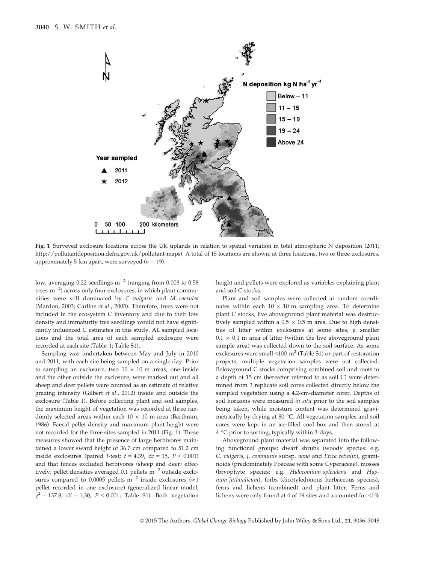

Fig. 1 Surveyed exclosure locations across the UK uplands in relation to spatial variation in total atmospheric N deposition (2011; [http://pollutantdeposition.defra.gov.uk/pollutant-maps\)](http://pollutantdeposition.defra.gov.uk/pollutant-maps). A total of 15 locations are shown; at three locations, two or three exclosures, approximately 5 km apart, were surveyed ( $n = 19$ ).

low, averaging 0.22 seedlings  $m^{-2}$  (ranging from 0.003 to 0.58 trees  $m^{-2}$ ) across only four exclosures, in which plant communities were still dominated by C. vulgaris and M. caerulea (Mardon, 2003; Carline et al., 2005). Therefore, trees were not included in the ecosystem C inventory and due to their low density and immaturity tree seedlings would not have significantly influenced C estimates in this study. All sampled locations and the total area of each sampled exclosure were recorded at each site (Table 1; Table S1).

Sampling was undertaken between May and July in 2010 and 2011, with each site being sampled on a single day. Prior to sampling an exclosure, two  $10 \times 10$  m areas, one inside and the other outside the exclosure, were marked out and all sheep and deer pellets were counted as an estimate of relative grazing intensity (Gilbert et al., 2012) inside and outside the exclosure (Table 1). Before collecting plant and soil samples, the maximum height of vegetation was recorded at three randomly selected areas within each  $10 \times 10$  m area (Barthram, 1986). Faecal pellet density and maximum plant height were not recorded for the three sites sampled in 2011 (Fig. 1). These measures showed that the presence of large herbivores maintained a lower sward height of 36.7 cm compared to 51.2 cm inside exclosures (paired *t*-test;  $t = 4.39$ ,  $df = 15$ ,  $P < 0.001$ ) and that fences excluded herbivores (sheep and deer) effectively; pellet densities averaged 0.1 pellets  $m^{-2}$  outside exclosures compared to 0.0005 pellets  $m^{-2}$  inside exclosures ( $\approx$ 1 pellet recorded in one exclosure) (generalized linear model;  $\chi^2$  = 137.8, df = 1,30, P < 0.001; Table S1). Both vegetation height and pellets were explored as variables explaining plant and soil C stocks.

Plant and soil samples were collected at random coordinates within each  $10 \times 10$  m sampling area. To determine plant C stocks, live aboveground plant material was destructively sampled within a  $0.5 \times 0.5$  m area. Due to high densities of litter within exclosures at some sites, a smaller  $0.1 \times 0.1$  m area of litter (within the live aboveground plant sample area) was collected down to the soil surface. As some exclosures were small <100  $m<sup>2</sup>$  (Table S1) or part of restoration projects, multiple vegetation samples were not collected. Belowground C stocks comprising combined soil and roots to a depth of 15 cm (hereafter referred to as soil C) were determined from 3 replicate soil cores collected directly below the sampled vegetation using a 4.2-cm-diameter corer. Depths of soil horizons were measured in situ prior to the soil samples being taken, while moisture content was determined gravimetrically by drying at 80 °C. All vegetation samples and soil cores were kept in an ice-filled cool box and then stored at 4 °C prior to sorting, typically within 3 days.

Aboveground plant material was separated into the following functional groups: dwarf shrubs (woody species: e.g. C. vulgaris, J. communis subsp. nana and Erica tetralix), graminoids (predominately Poaceae with some Cyperaceae), mosses (bryophyte species: e.g. Hylocomium splendens and Hypnum jutlandicum), forbs (dicotyledonous herbaceous species), ferns and lichens (combined) and plant litter. Ferns and lichens were only found at 4 of 19 sites and accounted for <1%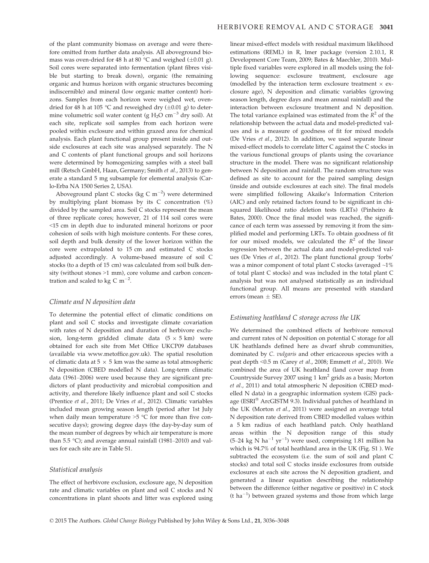of the plant community biomass on average and were therefore omitted from further data analysis. All aboveground biomass was oven-dried for 48 h at 80  $^{\circ}$ C and weighed ( $\pm$ 0.01 g). Soil cores were separated into fermentation (plant fibres visible but starting to break down), organic (the remaining organic and humus horizon with organic structures becoming indiscernible) and mineral (low organic matter content) horizons. Samples from each horizon were weighed wet, ovendried for 48 h at 105 °C and reweighed dry  $(\pm 0.01 \text{ g})$  to determine volumetric soil water content (g  $H_2O$  cm<sup>-3</sup> dry soil). At each site, replicate soil samples from each horizon were pooled within exclosure and within grazed area for chemical analysis. Each plant functional group present inside and outside exclosures at each site was analysed separately. The N and C contents of plant functional groups and soil horizons were determined by homogenizing samples with a steel ball mill (Retsch GmbH, Haan, Germany; Smith et al., 2013) to generate a standard 5 mg subsample for elemental analysis (Carlo-Erba NA 1500 Series 2, USA).

Aboveground plant C stocks (kg C  $m^{-2}$ ) were determined by multiplying plant biomass by its C concentration (%) divided by the sampled area. Soil C stocks represent the mean of three replicate cores; however, 21 of 114 soil cores were <15 cm in depth due to indurated mineral horizons or poor cohesion of soils with high moisture contents. For these cores, soil depth and bulk density of the lower horizon within the core were extrapolated to 15 cm and estimated C stocks adjusted accordingly. A volume-based measure of soil C stocks (to a depth of 15 cm) was calculated from soil bulk density (without stones >1 mm), core volume and carbon concentration and scaled to kg C  $m^{-2}$ .

#### Climate and N deposition data

To determine the potential effect of climatic conditions on plant and soil C stocks and investigate climate covariation with rates of N deposition and duration of herbivore exclusion, long-term gridded climate data  $(5 \times 5 \text{ km})$  were obtained for each site from Met Office UKCP09 databases (available via [www.metoffice.gov.uk](http://www.metoffice.gov.uk)). The spatial resolution of climatic data at  $5 \times 5$  km was the same as total atmospheric N deposition (CBED modelled N data). Long-term climatic data (1961–2006) were used because they are significant predictors of plant productivity and microbial composition and activity, and therefore likely influence plant and soil C stocks (Prentice et al., 2011; De Vries et al., 2012). Climatic variables included mean growing season length (period after 1st July when daily mean temperature  $>5$  °C for more than five consecutive days); growing degree days (the day-by-day sum of the mean number of degrees by which air temperature is more than 5.5 °C); and average annual rainfall (1981–2010) and values for each site are in Table S1.

#### Statistical analysis

The effect of herbivore exclusion, exclosure age, N deposition rate and climatic variables on plant and soil C stocks and N concentrations in plant shoots and litter was explored using linear mixed-effect models with residual maximum likelihood estimations (REML) in R, lmer package (version 2.10.1, R Development Core Team, 2009; Bates & Maechler, 2010). Multiple fixed variables were explored in all models using the following sequence: exclosure treatment, exclosure age (modelled by the interaction term exclosure treatment  $\times$  exclosure age), N deposition and climatic variables (growing season length, degree days and mean annual rainfall) and the interaction between exclosure treatment and N deposition. The total variance explained was estimated from the  $R^2$  of the relationship between the actual data and model-predicted values and is a measure of goodness of fit for mixed models (De Vries et al., 2012). In addition, we used separate linear mixed-effect models to correlate litter C against the C stocks in the various functional groups of plants using the covariance structure in the model. There was no significant relationship between N deposition and rainfall. The random structure was defined as site to account for the paired sampling design (inside and outside exclosures at each site). The final models were simplified following Akaike's Information Criterion (AIC) and only retained factors found to be significant in chisquared likelihood ratio deletion tests (LRTs) (Pinheiro & Bates, 2000). Once the final model was reached, the significance of each term was assessed by removing it from the simplified model and performing LRTs. To obtain goodness of fit for our mixed models, we calculated the  $R^2$  of the linear regression between the actual data and model-predicted values (De Vries et al., 2012). The plant functional group 'forbs' was a minor component of total plant C stocks (averaged ~1% of total plant C stocks) and was included in the total plant C analysis but was not analysed statistically as an individual functional group. All means are presented with standard errors (mean  $\pm$  SE).

#### Estimating heathland C storage across the UK

We determined the combined effects of herbivore removal and current rates of N deposition on potential C storage for all UK heathlands defined here as dwarf shrub communities, dominated by C. vulgaris and other ericaceous species with a peat depth <0.5 m (Carey et al., 2008; Emmett et al., 2010). We combined the area of UK heathland (land cover map from Countryside Survey 2007 using  $1 \text{ km}^2$  grids as a basis; Morton et al., 2011) and total atmospheric N deposition (CBED modelled N data) in a geographic information system (GIS) package (ESRI $^{\circ}$  ArcGISTM 9.3). Individual patches of heathland in the UK (Morton et al., 2011) were assigned an average total N deposition rate derived from CBED modelled values within a 5 km radius of each heathland patch. Only heathland areas within the N deposition range of this study (5–24 kg N ha<sup>-1</sup> yr<sup>-1</sup>) were used, comprising 1.81 million ha which is 94.7% of total heathland area in the UK (Fig. S1 ). We subtracted the ecosystem (i.e. the sum of soil and plant C stocks) and total soil C stocks inside exclosures from outside exclosures at each site across the N deposition gradient, and generated a linear equation describing the relationship between the difference (either negative or positive) in C stock  $(t \ ha^{-1})$  between grazed systems and those from which large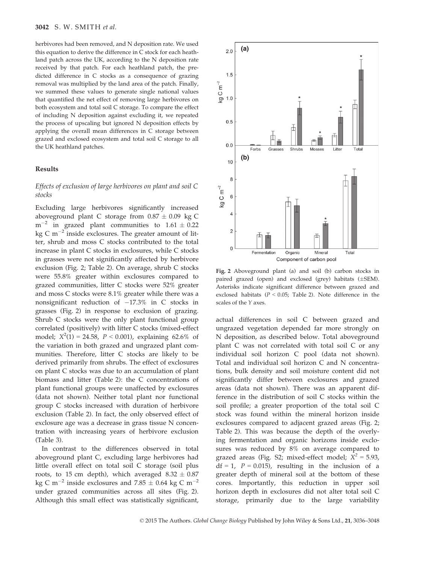herbivores had been removed, and N deposition rate. We used this equation to derive the difference in C stock for each heathland patch across the UK, according to the N deposition rate received by that patch. For each heathland patch, the predicted difference in C stocks as a consequence of grazing removal was multiplied by the land area of the patch. Finally, we summed these values to generate single national values that quantified the net effect of removing large herbivores on both ecosystem and total soil C storage. To compare the effect of including N deposition against excluding it, we repeated the process of upscaling but ignored N deposition effects by applying the overall mean differences in C storage between grazed and exclosed ecosystem and total soil C storage to all the UK heathland patches.

## Results

## Effects of exclusion of large herbivores on plant and soil C stocks

Excluding large herbivores significantly increased aboveground plant C storage from  $0.87 \pm 0.09$  kg C  $m^{-2}$  in grazed plant communities to  $1.61 \pm 0.22$ kg C m<sup> $-2$ </sup> inside exclosures. The greater amount of litter, shrub and moss C stocks contributed to the total increase in plant C stocks in exclosures, while C stocks in grasses were not significantly affected by herbivore exclusion (Fig. 2; Table 2). On average, shrub C stocks were 55.8% greater within exclosures compared to grazed communities, litter C stocks were 52% greater and moss C stocks were 8.1% greater while there was a nonsignificant reduction of  $-17.3\%$  in C stocks in grasses (Fig. 2) in response to exclusion of grazing. Shrub C stocks were the only plant functional group correlated (positively) with litter C stocks (mixed-effect model;  $X^2(1) = 24.58$ ,  $P < 0.001$ ), explaining 62.6% of the variation in both grazed and ungrazed plant communities. Therefore, litter C stocks are likely to be derived primarily from shrubs. The effect of exclosures on plant C stocks was due to an accumulation of plant biomass and litter (Table 2): the C concentrations of plant functional groups were unaffected by exclosures (data not shown). Neither total plant nor functional group C stocks increased with duration of herbivore exclusion (Table 2). In fact, the only observed effect of exclosure age was a decrease in grass tissue N concentration with increasing years of herbivore exclusion (Table 3).

In contrast to the differences observed in total aboveground plant C, excluding large herbivores had little overall effect on total soil C storage (soil plus roots, to 15 cm depth), which averaged  $8.32 \pm 0.87$ kg C m<sup>-2</sup> inside exclosures and 7.85  $\pm$  0.64 kg C m<sup>-2</sup> under grazed communities across all sites (Fig. 2). Although this small effect was statistically significant,



Fig. 2 Aboveground plant (a) and soil (b) carbon stocks in paired grazed (open) and exclosed (grey) habitats  $(\pm$ SEM). Asterisks indicate significant difference between grazed and exclosed habitats ( $P < 0.05$ ; Table 2). Note difference in the scales of the Y axes.

actual differences in soil C between grazed and ungrazed vegetation depended far more strongly on N deposition, as described below. Total aboveground plant C was not correlated with total soil C or any individual soil horizon C pool (data not shown). Total and individual soil horizon C and N concentrations, bulk density and soil moisture content did not significantly differ between exclosures and grazed areas (data not shown). There was an apparent difference in the distribution of soil C stocks within the soil profile; a greater proportion of the total soil C stock was found within the mineral horizon inside exclosures compared to adjacent grazed areas (Fig. 2; Table 2). This was because the depth of the overlying fermentation and organic horizons inside exclosures was reduced by 8% on average compared to grazed areas (Fig. S2; mixed-effect model;  $X^2 = 5.93$ ,  $df = 1$ ,  $P = 0.015$ , resulting in the inclusion of a greater depth of mineral soil at the bottom of these cores. Importantly, this reduction in upper soil horizon depth in exclosures did not alter total soil C storage, primarily due to the large variability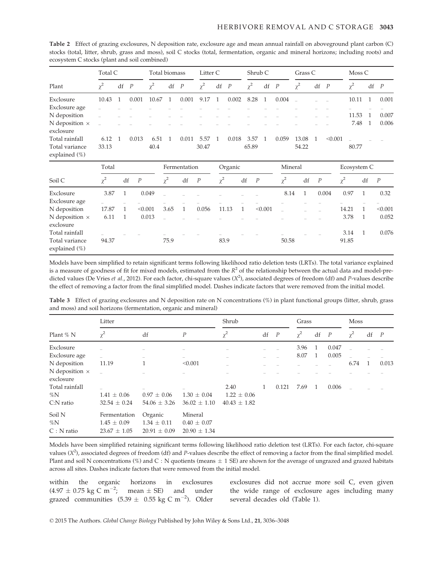| <b>Table 2</b> Effect of grazing exclosures, N deposition rate, exclosure age and mean annual rainfall on aboveground plant carbon (C) |  |
|----------------------------------------------------------------------------------------------------------------------------------------|--|
| stocks (total, litter, shrub, grass and moss), soil C stocks (total, fermentation, organic and mineral horizons; including roots) and  |  |
| ecosystem C stocks (plant and soil combined)                                                                                           |  |

|                                    | Total C    |          |       | Total biomass |          | Litter C |          |          | ShrubC |            |          | Grass C |            |          | Moss C  |            |          |       |
|------------------------------------|------------|----------|-------|---------------|----------|----------|----------|----------|--------|------------|----------|---------|------------|----------|---------|------------|----------|-------|
| Plant                              | $\gamma^2$ | $df$ $P$ |       | $\gamma^2$    | $df$ $P$ |          | $\chi^2$ | $df$ $P$ |        | $\gamma^2$ | $df$ $P$ |         | $\gamma^2$ | $df$ $P$ |         | $\gamma^2$ | $df$ $P$ |       |
| Exclosure                          | 10.43      |          | 0.001 | 10.67         |          | 0.001    | 9.17     |          | 0.002  | 8.28       |          | 0.004   |            |          |         | 10.11      |          | 0.001 |
| Exclosure age                      |            |          |       |               |          |          |          |          |        |            |          |         |            |          |         |            |          |       |
| N deposition                       | -          |          |       |               |          |          |          |          |        |            |          |         |            |          |         | 11.53      |          | 0.007 |
| N deposition $\times$<br>exclosure |            |          |       |               |          |          |          |          |        |            |          |         |            |          |         | 7.48       |          | 0.006 |
| Total rainfall                     | 6.12       |          | 0.013 | 6.51          |          | 0.011    | 5.57     |          | 0.018  | 3.57       |          | 0.059   | 13.08      |          | < 0.001 |            |          |       |
| Total variance<br>explained $(\%)$ | 33.13      |          |       | 40.4          |          |          | 30.47    |          |        | 65.89      |          |         | 54.22      |          |         | 80.77      |          |       |

|                                    | Total      |    |         | Fermentation |    | Organic |            |    | Mineral |            |    | Ecosystem C |            |    |                |
|------------------------------------|------------|----|---------|--------------|----|---------|------------|----|---------|------------|----|-------------|------------|----|----------------|
| Soil C                             | $\gamma^2$ | df | P       | $\gamma^2$   | df | P       | $\gamma^2$ | df | P       | $\gamma^2$ | df | P           | $\gamma^2$ | df | $\overline{P}$ |
| Exclosure                          | 3.87       |    | 0.049   |              |    |         |            |    |         | 8.14       |    | 0.004       | 0.97       |    | 0.32           |
| Exclosure age                      |            |    |         |              |    |         |            |    |         |            |    |             |            |    |                |
| N deposition                       | 17.87      |    | < 0.001 | 3.65         |    | 0.056   | 11.13      |    | < 0.001 |            |    |             | 14.21      |    | < 0.001        |
| N deposition $\times$<br>exclosure | 6.11       |    | 0.013   |              |    |         |            |    |         |            |    |             | 3.78       |    | 0.052          |
| Total rainfall                     |            |    |         |              |    |         |            |    |         |            |    |             | 3.14       |    | 0.076          |
| Total variance<br>explained $(\%)$ | 94.37      |    |         | 75.9         |    |         | 83.9       |    |         | 50.58      |    |             | 91.85      |    |                |

Models have been simplified to retain significant terms following likelihood ratio deletion tests (LRTs). The total variance explained is a measure of goodness of fit for mixed models, estimated from the  $R^2$  of the relationship between the actual data and model-predicted values (De Vries et al., 2012). For each factor, chi-square values ( $X^2$ ), associated degrees of freedom (df) and P-values describe the effect of removing a factor from the final simplified model. Dashes indicate factors that were removed from the initial model.

Table 3 Effect of grazing exclosures and N deposition rate on N concentrations (%) in plant functional groups (litter, shrub, grass and moss) and soil horizons (fermentation, organic and mineral)

|                                        | Litter                                              |                                                | Shrub                                          |                                             | Grass |                  |              | <b>Moss</b>    |                  |          |    |                |
|----------------------------------------|-----------------------------------------------------|------------------------------------------------|------------------------------------------------|---------------------------------------------|-------|------------------|--------------|----------------|------------------|----------|----|----------------|
| Plant $\%$ N                           | $\chi^2$                                            | df                                             | $\boldsymbol{P}$                               | $\chi^2$                                    | df    | $\boldsymbol{P}$ | $\chi^2$     | df             | $\boldsymbol{P}$ | $\chi^2$ | df | $\overline{P}$ |
| Exclosure<br>Exclosure age             | $\overline{\phantom{m}}$                            |                                                |                                                |                                             |       |                  | 3.96<br>8.07 | -1<br>-1       | 0.047<br>0.005   |          |    |                |
| N deposition                           | 11.19                                               |                                                | < 0.001                                        |                                             |       |                  |              |                |                  | 6.74     |    | 0.013          |
| N deposition $\times$<br>exclosure     |                                                     |                                                |                                                |                                             |       |                  |              |                |                  |          |    |                |
| Total rainfall<br>$\%N$<br>$C:N$ ratio | $1.41 \pm 0.06$<br>$32.54 \pm 0.24$                 | $0.97 \pm 0.06$<br>$54.06 \pm 3.26$            | $1.30 \pm 0.04$<br>$36.02 \pm 1.10$            | 2.40<br>$1.22 \pm 0.06$<br>$40.43 \pm 1.82$ | 1     | 0.121            | 7.69         | $\overline{1}$ | 0.006            |          |    |                |
| Soil N<br>%N<br>$C: N$ ratio           | Fermentation<br>$1.45 \pm 0.09$<br>$23.67 \pm 1.05$ | Organic<br>$1.34 \pm 0.11$<br>$20.91 \pm 0.09$ | Mineral<br>$0.40 \pm 0.07$<br>$20.90 \pm 1.34$ |                                             |       |                  |              |                |                  |          |    |                |

Models have been simplified retaining significant terms following likelihood ratio deletion test (LRTs). For each factor, chi-square values  $(X^2)$ , associated degrees of freedom (df) and P-values describe the effect of removing a factor from the final simplified model. Plant and soil N concentrations (%) and C : N quotients (means  $\pm$  1 SE) are shown for the average of ungrazed and grazed habitats across all sites. Dashes indicate factors that were removed from the initial model.

within the organic horizons in exclosures  $(4.97 \pm 0.75 \text{ kg C m}^{-2})$ ; mean  $\pm$  SE) and under grazed communities  $(5.39 \pm 0.55 \text{ kg C m}^{-2})$ . Older

exclosures did not accrue more soil C, even given the wide range of exclosure ages including many several decades old (Table 1).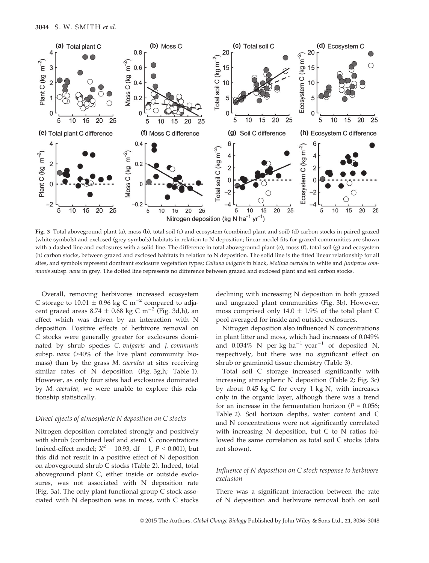

Fig. 3 Total aboveground plant (a), moss (b), total soil (c) and ecosystem (combined plant and soil) (d) carbon stocks in paired grazed (white symbols) and exclosed (grey symbols) habitats in relation to N deposition; linear model fits for grazed communities are shown with a dashed line and exclosures with a solid line. The difference in total aboveground plant (e), moss (f), total soil (g) and ecosystem (h) carbon stocks, between grazed and exclosed habitats in relation to N deposition. The solid line is the fitted linear relationship for all sites, and symbols represent dominant exclosure vegetation types; Calluna vulgaris in black, Molinia caerulea in white and Juniperus communis subsp. nana in grey. The dotted line represents no difference between grazed and exclosed plant and soil carbon stocks.

Overall, removing herbivores increased ecosystem C storage to 10.01  $\pm$  0.96 kg C m<sup>-2</sup> compared to adjacent grazed areas  $8.74 \pm 0.68$  kg C m<sup>-2</sup> (Fig. 3d,h), an effect which was driven by an interaction with N deposition. Positive effects of herbivore removal on C stocks were generally greater for exclosures dominated by shrub species C. vulgaris and J. communis subsp. nana (>40% of the live plant community biomass) than by the grass M. caerulea at sites receiving similar rates of N deposition (Fig. 3g,h; Table 1). However, as only four sites had exclosures dominated by M. caerulea, we were unable to explore this relationship statistically.

## Direct effects of atmospheric N deposition on C stocks

Nitrogen deposition correlated strongly and positively with shrub (combined leaf and stem) C concentrations (mixed-effect model;  $X^2 = 10.93$ , df = 1,  $P < 0.001$ ), but this did not result in a positive effect of N deposition on aboveground shrub C stocks (Table 2). Indeed, total aboveground plant C, either inside or outside exclosures, was not associated with N deposition rate (Fig. 3a). The only plant functional group C stock associated with N deposition was in moss, with C stocks declining with increasing N deposition in both grazed and ungrazed plant communities (Fig. 3b). However, moss comprised only  $14.0 \pm 1.9\%$  of the total plant C pool averaged for inside and outside exclosures.

Nitrogen deposition also influenced N concentrations in plant litter and moss, which had increases of 0.049% and  $0.034\%$  N per kg ha<sup>-1</sup> year<sup>-1</sup> of deposited N, respectively, but there was no significant effect on shrub or graminoid tissue chemistry (Table 3).

Total soil C storage increased significantly with increasing atmospheric N deposition (Table 2; Fig. 3c) by about 0.45 kg C for every 1 kg N, with increases only in the organic layer, although there was a trend for an increase in the fermentation horizon ( $P = 0.056$ ; Table 2). Soil horizon depths, water content and C and N concentrations were not significantly correlated with increasing N deposition, but C to N ratios followed the same correlation as total soil C stocks (data not shown).

## Influence of N deposition on C stock response to herbivore exclusion

There was a significant interaction between the rate of N deposition and herbivore removal both on soil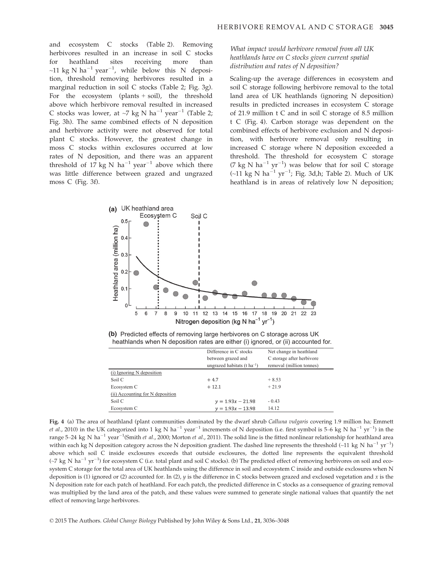and ecosystem C stocks (Table 2). Removing herbivores resulted in an increase in soil C stocks for heathland sites receiving more than  $\sim$ 11 kg N ha $^{-1}$  year $^{-1}$ , while below this N deposition, threshold removing herbivores resulted in a marginal reduction in soil C stocks (Table 2; Fig. 3g). For the ecosystem (plants  $+$  soil), the threshold above which herbivore removal resulted in increased C stocks was lower, at  $\sim$ 7 kg N ha<sup>-1</sup> year<sup>-1</sup> (Table 2; Fig. 3h). The same combined effects of N deposition and herbivore activity were not observed for total plant C stocks. However, the greatest change in moss C stocks within exclosures occurred at low rates of N deposition, and there was an apparent threshold of 17 kg N ha<sup>-1</sup> year<sup>-1</sup> above which there was little difference between grazed and ungrazed moss C (Fig. 3f).

# What impact would herbivore removal from all UK heathlands have on C stocks given current spatial distribution and rates of N deposition?

Scaling-up the average differences in ecosystem and soil C storage following herbivore removal to the total land area of UK heathlands (ignoring N deposition) results in predicted increases in ecosystem C storage of 21.9 million t C and in soil C storage of 8.5 million t C (Fig. 4). Carbon storage was dependent on the combined effects of herbivore exclusion and N deposition, with herbivore removal only resulting in increased C storage where N deposition exceeded a threshold. The threshold for ecosystem C storage (7 kg N ha<sup>-1</sup> yr<sup>-1</sup>) was below that for soil C storage  $(\sim 11 \text{ kg N ha}^{-1} \text{ yr}^{-1}$ ; Fig. 3d,h; Table 2). Much of UK heathland is in areas of relatively low N deposition;



**(b)** Predicted effects of removing large herbivores on C storage across UK heathlands when N deposition rates are either (i) ignored, or (ii) accounted for.

|                                  | Difference in C stocks                  | Net change in heathland   |
|----------------------------------|-----------------------------------------|---------------------------|
|                                  | between grazed and                      | C storage after herbivore |
|                                  | ungrazed habitats (t ha <sup>-1</sup> ) | removal (million tonnes)  |
| (i) Ignoring N deposition        |                                         |                           |
| Soil C                           | $+4.7$                                  | $+8.53$                   |
| Ecosystem C                      | $+12.1$                                 | $+21.9$                   |
| (ii) Accounting for N deposition |                                         |                           |
| Soil C                           | $y = 1.93x - 21.98$                     | $-0.43$                   |
| Ecosystem C                      | $v = 1.93x - 13.98$                     | 14.12                     |

Fig. 4 (a) The area of heathland (plant communities dominated by the dwarf shrub Calluna vulgaris covering 1.9 million ha; Emmett *et al.,* 2010) in the UK categorized into 1 kg N ha<sup>-1</sup> year<sup>-1</sup> increments of N deposition (i.e. first symbol is 5–6 kg N ha<sup>-1</sup> yr<sup>-1</sup>) in the range 5–24 kg N ha<sup>-1</sup> year<sup>-1</sup>(Smith *et al.,* 2000; Morton *et al.,* 2011). The solid line is the fitted nonlinear relationship for heathland area within each kg N deposition category across the N deposition gradient. The dashed line represents the threshold (~11 kg N ha<sup>-1</sup> yr<sup>-1</sup>) above which soil C inside exclosures exceeds that outside exclosures, the dotted line represents the equivalent threshold  $(\sim$ 7 kg N ha<sup>-1</sup> yr<sup>-1</sup>) for ecosystem C (i.e. total plant and soil C stocks). (b) The predicted effect of removing herbivores on soil and ecosystem C storage for the total area of UK heathlands using the difference in soil and ecosystem C inside and outside exclosures when N deposition is (1) ignored or (2) accounted for. In (2),  $y$  is the difference in C stocks between grazed and exclosed vegetation and  $x$  is the N deposition rate for each patch of heathland. For each patch, the predicted difference in C stocks as a consequence of grazing removal was multiplied by the land area of the patch, and these values were summed to generate single national values that quantify the net effect of removing large herbivores.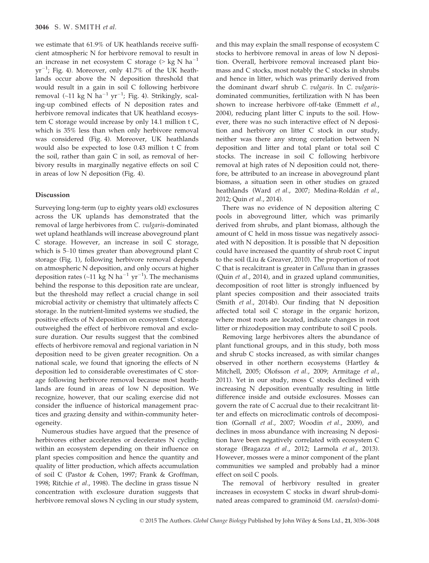we estimate that 61.9% of UK heathlands receive sufficient atmospheric N for herbivore removal to result in an increase in net ecosystem C storage ( $>$  kg N ha<sup>-1</sup>  $\rm{yr}^{-1}$ ; Fig. 4). Moreover, only 41.7% of the UK heathlands occur above the N deposition threshold that would result in a gain in soil C following herbivore removal (~11 kg N ha $^{-1}$  yr $^{-1}$ ; Fig. 4). Strikingly, scaling-up combined effects of N deposition rates and herbivore removal indicates that UK heathland ecosystem C storage would increase by only 14.1 million t C, which is 35% less than when only herbivore removal was considered (Fig. 4). Moreover, UK heathlands would also be expected to lose 0.43 million t C from the soil, rather than gain C in soil, as removal of herbivory results in marginally negative effects on soil C in areas of low N deposition (Fig. 4).

## Discussion

Surveying long-term (up to eighty years old) exclosures across the UK uplands has demonstrated that the removal of large herbivores from C. vulgaris-dominated wet upland heathlands will increase aboveground plant C storage. However, an increase in soil C storage, which is 5–10 times greater than aboveground plant C storage (Fig. 1), following herbivore removal depends on atmospheric N deposition, and only occurs at higher deposition rates (~11 kg N ha<sup>-1</sup> yr<sup>-1</sup>). The mechanisms behind the response to this deposition rate are unclear, but the threshold may reflect a crucial change in soil microbial activity or chemistry that ultimately affects C storage. In the nutrient-limited systems we studied, the positive effects of N deposition on ecosystem C storage outweighed the effect of herbivore removal and exclosure duration. Our results suggest that the combined effects of herbivore removal and regional variation in N deposition need to be given greater recognition. On a national scale, we found that ignoring the effects of N deposition led to considerable overestimates of C storage following herbivore removal because most heathlands are found in areas of low N deposition. We recognize, however, that our scaling exercise did not consider the influence of historical management practices and grazing density and within-community heterogeneity.

Numerous studies have argued that the presence of herbivores either accelerates or decelerates N cycling within an ecosystem depending on their influence on plant species composition and hence the quantity and quality of litter production, which affects accumulation of soil C (Pastor & Cohen, 1997; Frank & Groffman, 1998; Ritchie et al., 1998). The decline in grass tissue N concentration with exclosure duration suggests that herbivore removal slows N cycling in our study system,

and this may explain the small response of ecosystem C stocks to herbivore removal in areas of low N deposition. Overall, herbivore removal increased plant biomass and C stocks, most notably the C stocks in shrubs and hence in litter, which was primarily derived from the dominant dwarf shrub C. vulgaris. In C. vulgarisdominated communities, fertilization with N has been shown to increase herbivore off-take (Emmett et al., 2004), reducing plant litter C inputs to the soil. However, there was no such interactive effect of N deposition and herbivory on litter C stock in our study, neither was there any strong correlation between N deposition and litter and total plant or total soil C stocks. The increase in soil C following herbivore removal at high rates of N deposition could not, therefore, be attributed to an increase in aboveground plant biomass, a situation seen in other studies on grazed heathlands (Ward et al., 2007; Medina-Roldán et al., 2012; Quin et al., 2014).

There was no evidence of N deposition altering C pools in aboveground litter, which was primarily derived from shrubs, and plant biomass, although the amount of C held in moss tissue was negatively associated with N deposition. It is possible that N deposition could have increased the quantity of shrub root C input to the soil (Liu & Greaver, 2010). The proportion of root C that is recalcitrant is greater in Calluna than in grasses (Quin et al., 2014), and in grazed upland communities, decomposition of root litter is strongly influenced by plant species composition and their associated traits (Smith et al., 2014b). Our finding that N deposition affected total soil C storage in the organic horizon, where most roots are located, indicate changes in root litter or rhizodeposition may contribute to soil C pools.

Removing large herbivores alters the abundance of plant functional groups, and in this study, both moss and shrub C stocks increased, as with similar changes observed in other northern ecosystems (Hartley & Mitchell, 2005; Olofsson et al., 2009; Armitage et al., 2011). Yet in our study, moss C stocks declined with increasing N deposition eventually resulting in little difference inside and outside exclosures. Mosses can govern the rate of C accrual due to their recalcitrant litter and effects on microclimatic controls of decomposition (Gornall et al., 2007; Woodin et al., 2009), and declines in moss abundance with increasing N deposition have been negatively correlated with ecosystem C storage (Bragazza et al., 2012; Larmola et al., 2013). However, mosses were a minor component of the plant communities we sampled and probably had a minor effect on soil C pools.

The removal of herbivory resulted in greater increases in ecosystem C stocks in dwarf shrub-dominated areas compared to graminoid (M. caerulea)-domi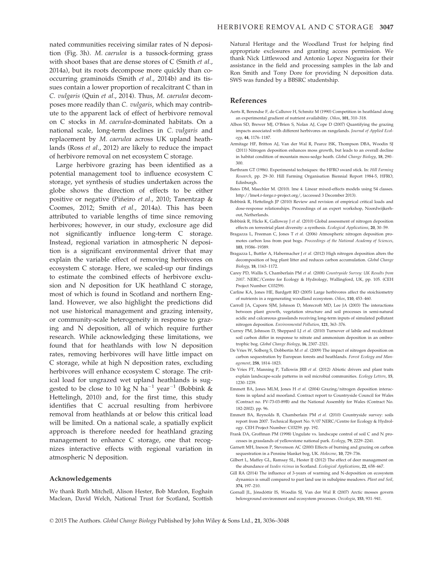nated communities receiving similar rates of N deposition (Fig. 3h). M. caerulea is a tussock-forming grass with shoot bases that are dense stores of C (Smith et al., 2014a), but its roots decompose more quickly than cooccurring graminoids (Smith et al., 2014b) and its tissues contain a lower proportion of recalcitrant C than in C. vulgaris (Quin et al., 2014). Thus, M. caerulea decomposes more readily than C. vulgaris, which may contribute to the apparent lack of effect of herbivore removal on C stocks in M. caerulea-dominated habitats. On a national scale, long-term declines in C. vulgaris and replacement by M. caerulea across UK upland heathlands (Ross et al., 2012) are likely to reduce the impact of herbivore removal on net ecosystem C storage.

Large herbivore grazing has been identified as a potential management tool to influence ecosystem C storage, yet synthesis of studies undertaken across the globe shows the direction of effects to be either positive or negative (Piñeiro et al., 2010; Tanentzap & Coomes, 2012; Smith et al., 2014a). This has been attributed to variable lengths of time since removing herbivores; however, in our study, exclosure age did not significantly influence long-term C storage. Instead, regional variation in atmospheric N deposition is a significant environmental driver that may explain the variable effect of removing herbivores on ecosystem C storage. Here, we scaled-up our findings to estimate the combined effects of herbivore exclusion and N deposition for UK heathland C storage, most of which is found in Scotland and northern England. However, we also highlight the predictions did not use historical management and grazing intensity, or community-scale heterogeneity in response to grazing and N deposition, all of which require further research. While acknowledging these limitations, we found that for heathlands with low N deposition rates, removing herbivores will have little impact on C storage, while at high N deposition rates, excluding herbivores will enhance ecosystem C storage. The critical load for ungrazed wet upland heathlands is suggested to be close to 10 kg N ha<sup>-1</sup> year<sup>-1</sup> (Bobbink & Hettelingh, 2010) and, for the first time, this study identifies that C accrual resulting from herbivore removal from heathlands at or below this critical load will be limited. On a national scale, a spatially explicit approach is therefore needed for heathland grazing management to enhance C storage, one that recognizes interactive effects with regional variation in atmospheric N deposition.

#### Acknowledgements

We thank Ruth Mitchell, Alison Hester, Bob Mardon, Eoghain Maclean, David Welch, National Trust for Scotland, Scottish Natural Heritage and the Woodland Trust for helping find appropriate exclosures and granting access permission. We thank Nick Littlewood and Antonio Lopez Nogueira for their assistance in the field and processing samples in the lab and Ron Smith and Tony Dore for providing N deposition data. SWS was funded by a BBSRC studentship.

#### References

- Aerts R, Berendse F, de Calluwe H, Schmitz M (1990) Competition in heathland along an experimental gradient of nutrient availability. Oikos, 101, 310–318.
- Albon SD, Brewer MJ, O'Brien S, Nolan AJ, Cope D (2007) Quantifying the grazing impacts associated with different herbivores on rangelands. Journal of Applied Ecology, 44, 1176–1187.
- Armitage HF, Britton AJ, Van der Wal R, Pearce ISK, Thompson DBA, Woodin SJ (2011) Nitrogen deposition enhances moss growth, but leads to an overall decline in habitat condition of mountain moss-sedge heath. Global Change Biology, 18, 290– 300.
- Barthram GT (1986). Experimental techniques: the HFRO sward stick. In: Hill Farming Research, pp. 29–30. Hill Farming Organisation Biennial Report 1984-5, HFRO, Edinburgh.
- Bates DM, Maechler M. (2010). lme 4. Linear mixed-effects models using S4 classes. <http://lme4.r-forge.r-project.org/>, (accessed 3 December 2013).
- Bobbink R, Hettelingh JP (2010) Review and revision of empirical critical loads and dose-response relationships. Proceedings of an expert workshop, Noordwijkerhout, Netherlands.
- Bobbink R, Hicks K, Galloway J et al. (2010) Global assessment of nitrogen deposition effects on terrestrial plant diversity: a synthesis. Ecological Applications, 20, 30–59.
- Bragazza L, Freeman C, Jones T et al. (2006) Atmospheric nitrogen deposition promotes carbon loss from peat bogs. Proceedings of the National Academy of Sciences, 103, 19386–19389.
- Bragazza L, Buttler A, Habermacher J et al. (2012) High nitrogen deposition alters the decomposition of bog plant litter and reduces carbon accumulation. Global Change Biology, 18, 1163–1172.
- Carey PD, Wallis S, Chamberlain PM et al. (2008) Countryside Survey: UK Results from 2007. NERC/Centre for Ecology & Hydrology, Wallingford, UK, pp. 105. (CEH Project Number: C03259).
- Carline KA, Jones HE, Bardgett RD (2005) Large herbivores affect the stoichiometry of nutrients in a regenerating woodland ecosystem. Oikos, 110, 453–460.
- Carroll JA, Caporn SJM, Johnson D, Morecroft MD, Lee JA (2003) The interactions between plant growth, vegetation structure and soil processes in semi-natural acidic and calcareous grasslands receiving long-term inputs of simulated pollutant nitrogen deposition. Environmental Pollution, 121, 363–376.
- Currey PM, Johnson D, Sheppard LJ et al. (2010) Turnover of labile and recalcitrant soil carbon differ in response to nitrate and ammonium deposition in an ombrotrophic bog. Global Change Biology, 16, 2307–2321.
- De Vries W, Solberg S, Dobbertin M et al. (2009) The impact of nitrogen deposition on carbon sequestration by European forests and heathlands. Forest Ecology and Management, 258, 1814–1823.
- De Vries FT, Manning P, Tallowin JRB et al. (2012) Abiotic drivers and plant traits explain landscape-scale patterns in soil microbial communities. Ecology Letters, 15, 1230–1239.
- Emmett BA, Jones MLM, Jones H et al. (2004) Grazing/nitrogen deposition interactions in upland acid moorland. Contract report to Countryside Council for Wales (Contract no. FV-73-03-89B) and the National Assembly for Wales (Contract No. 182-2002). pp. 96.
- Emmett BA, Reynolds B, Chamberlain PM et al. (2010) Countryside survey: soils report from 2007. Technical Report No. 9/07 NERC/Centre for Ecology & Hydrology. CEH Project Number: C03259. pp. 192.
- Frank DA, Groffman PM (1998) Ungulate vs. landscape control of soil C and N processes in grasslands of yellowstone national park. Ecology, 79, 2229–2241.
- Garnett MH, Ineson P, Stevenson AC (2000) Effects of burning and grazing on carbon sequestration in a Pennine blanket bog, UK. Holocene, 10, 729–736.
- Gilbert L, Maffey GL, Ramsay SL, Hester IJ (2012) The effect of deer management on the abundance of Ixodes ricinus in Scotland. Ecological Applications, 22, 658–667.
- Gill RA (2014) The influence of 3-years of warming and N-deposition on ecosystem dynamics is small compared to past land use in subalpine meadows. Plant and Soil, 374, 197–210.
- Gornall JL, Jónsdóttir IS, Woodin SJ, Van der Wal R (2007) Arctic mosses govern belowground environment and ecosystem processes. Oecologia, 153, 931–941.